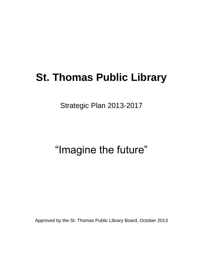# **St. Thomas Public Library**

Strategic Plan 2013-2017

# "Imagine the future"

Approved by the St. Thomas Public Library Board, October 2013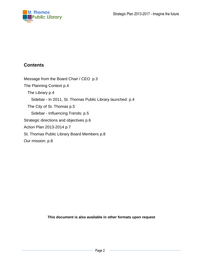

## **Contents**

[Message from the Board Chair / CEO p.3](#page-2-0) [The Planning Context](#page-3-0) p.4 [The Library](#page-3-1) p.4 Sidebar - [In 2011, St. Thomas Public Library launched:](#page-3-2) p.4 [The City of St. Thomas](#page-4-0) p.5 Sidebar - [Influencing Trends:](#page-4-1) p.5 [Strategic directions and objectives](#page-5-0) p.6 [Action Plan 2013-2014](#page-6-0) p.7 [St. Thomas Public Library Board Members](#page-6-1) p.8 [Our mission:](#page-7-0) p.8

**This document is also available in other formats upon request**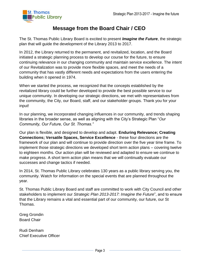

# **Message from the Board Chair / CEO**

<span id="page-2-0"></span>The St. Thomas Public Library Board is excited to present *Imagine the Future*, the strategic plan that will guide the development of the Library 2013 to 2017.

In 2012, the Library returned to the permanent, and revitalized, location, and the Board initiated a strategic planning process to develop our course for the future, to ensure continuing relevance in our changing community and maintain service excellence. The intent of our Revitalization was to provide more flexible spaces, and meet the needs of a community that has vastly different needs and expectations from the users entering the building when it opened in 1974.

When we started the process, we recognized that the concepts established by the revitalized library could be further developed to provide the best possible service to our unique community. In developing our strategic directions, we met with representatives from the community, the City, our Board, staff, and our stakeholder groups. Thank you for your input!

In our planning, we incorporated changing influences in our community, and trends shaping libraries in the broader sense, as well as aligning with the City's Strategic Plan "*Our Community, Our Future, Our St. Thomas."*

Our plan is flexible, and designed to develop and adapt. **Enduring Relevance; Creating Connections; Versatile Spaces, Service Excellence** - these four directions are the framework of our plan and will continue to provide direction over the five year time frame. To implement those strategic directions we developed short term action plans – covering twelve to eighteen months. Our action plan will be reviewed and adapted to ensure we continue to make progress. A short term action plan means that we will continually evaluate our successes and change tactics if needed.

In 2014, St. Thomas Public Library celebrates 130 years as a public library serving you, the community. Watch for information on the special events that are planned throughout the year.

St. Thomas Public Library Board and staff are committed to work with City Council and other stakeholders to implement our *Strategic Plan 2013-2017: Imagine the Future*", and to ensure that the Library remains a vital and essential part of our community, our future, our St Thomas.

Greg Grondin Board Chair

Rudi Denham Chief Executive Officer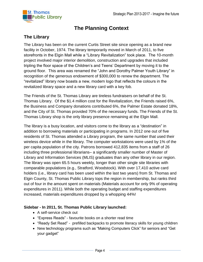

# **The Planning Context**

## <span id="page-3-1"></span><span id="page-3-0"></span>**The Library**

The Library has been on the current Curtis Street site since opening as a brand new facility in October, 1974. The library temporarily moved in March of 2011, to five storefronts in the Elgin Mall while a "Library Revitalization" took place. The 10-month project involved major interior demolition, construction and upgrades that included tripling the floor space of the Children's and Teens' Department by moving it to the ground floor. This area was renamed the "John and Dorothy Palmer Youth Library" in recognition of the generous endowment of \$300,000 to renew the department. The "revitalized" library now boasts a new, modern logo that reflects the colours in the revitalized library space and a new library card with a key fob.

The Friends of the St. Thomas Library are tireless fundraisers on behalf of the St. Thomas Library. Of the \$1.4 million cost for the Revitalization, the Friends raised 6%, the Business and Company donations contributed 6%, the Palmer Estate donated 18%, and the City of St. Thomas provided 70% of the necessary funds. The Friends of the St. Thomas Library shop is the only library presence remaining at the Elgin Mall.

The library is a busy location, and visitors come to the library as a "destination" in addition to borrowing materials or participating in programs. In 2012 one out of five residents of St. Thomas attended a Library program, the same number that used their wireless device while in the library. The computer workstations were used by 1% of the per capita population of the city. Patrons borrowed 412,835 items from a staff of 26 including three professional librarians– a significantly smaller number of Master of Library and Information Services (MLIS) graduates than any other library in our region. The library was open 65.5 hours weekly, longer than other single site libraries with comparable populations (e.g., Stratford, Woodstock). With over 17,410 active card holders (i.e., library card has been used within the last two years) from St. Thomas and Elgin County, St. Thomas Public Library tops the region in membership, but ranks third out of four in the amount spent on materials (Materials account for only 9% of operating expenditures in 2011). While both the operating budget and staffing expenditures increased, materials expenditures dropped by a whopping 44%!

#### <span id="page-3-2"></span>**Sidebar - In 2011, St. Thomas Public Library launched:**

- A self-service check out
- "Express Reads" favourite books on a shorter read time
- "Ready Set Read" prefilled backpacks to promote literacy skills for young children
- New technology programs such as "Making Computers Click" for seniors and "Get your gadget"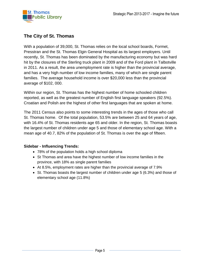

## <span id="page-4-0"></span>**The City of St. Thomas**

With a population of 39,000, St. Thomas relies on the local school boards, Formet, Presstran and the St. Thomas Elgin General Hospital as its largest employers. Until recently, St. Thomas has been dominated by the manufacturing economy but was hard hit by the closures of the Sterling truck plant in 2009 and of the Ford plant in Talbotville in 2011. As a result, the area unemployment rate is higher than the provincial average, and has a very high number of low income families, many of which are single parent families. The average household income is over \$20,000 less than the provincial average of \$102, 000.

Within our region, St. Thomas has the highest number of home schooled children reported, as well as the greatest number of English first language speakers (92.5%). Croatian and Polish are the highest of other first languages that are spoken at home.

The 2011 Census also points to some interesting trends in the ages of those who call St. Thomas home. Of the total population, 53.5% are between 25 and 64 years of age, with 16.4% of St. Thomas residents age 65 and older. In the region, St. Thomas boasts the largest number of children under age 5 and those of elementary school age. With a mean age of 40.7, 82% of the population of St. Thomas is over the age of fifteen.

#### <span id="page-4-1"></span>**Sidebar - Influencing Trends:**

- 78% of the population holds a high school diploma
- St Thomas and area have the highest number of low income families in the province, with 18% as single parent families
- At 8.5%, employment rates are higher than the provincial average of 7.9%
- $\bullet$  St. Thomas boasts the largest number of children under age 5 (6.3%) and those of elementary school age (11.8%)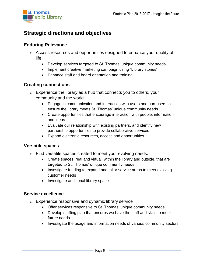

# <span id="page-5-0"></span>**Strategic directions and objectives**

## **Enduring Relevance**

- o Access resources and opportunities designed to enhance your quality of life
	- Develop services targeted to St. Thomas' unique community needs
	- Implement creative marketing campaign using "Library stories"
	- Enhance staff and board orientation and training

## **Creating connections**

- $\circ$  Experience the library as a hub that connects you to others, your community and the world
	- Engage in communication and interaction with users and non-users to ensure the library meets St. Thomas' unique community needs
	- Create opportunities that encourage interaction with people, information and ideas
	- Evaluate our relationship with existing partners, and identify new partnership opportunities to provide collaborative services
	- Expand electronic resources, access and opportunities

### **Versatile spaces**

- o Find versatile spaces created to meet your evolving needs.
	- Create spaces, real and virtual, within the library and outside, that are targeted to St. Thomas' unique community needs
	- Investigate funding to expand and tailor service areas to meet evolving customer needs
	- Investigate additional library space

### **Service excellence**

- o Experience responsive and dynamic library service
	- Offer services responsive to St. Thomas' unique community needs
	- Develop staffing plan that ensures we have the staff and skills to meet future needs
	- Investigate the usage and information needs of various community sectors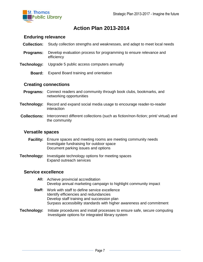

# **Action Plan 2013-2014**

#### <span id="page-6-0"></span>**Enduring relevance**

- **Collection:** Study collection strengths and weaknesses, and adapt to meet local needs
- **Programs:** Develop evaluation process for programming to ensure relevance and efficiency
- **Technology:** Upgrade 5 public access computers annually
	- **Board:** Expand Board training and orientation

#### **Creating connections**

- **Programs:** Connect readers and community through book clubs, bookmarks, and networking opportunities
- **Technology:** Record and expand social media usage to encourage reader-to-reader interaction
- **Collections:** Interconnect different collections (such as fiction/non-fiction; print/ virtual) and the community

#### **Versatile spaces**

- **Facility:** Ensure spaces and meeting rooms are meeting community needs Investigate fundraising for outdoor space Document parking issues and options
- **Technology:** Investigate technology options for meeting spaces Expand outreach services

#### **Service excellence**

- **All:** Achieve provincial accreditation Develop annual marketing campaign to highlight community impact **Staff:** Work with staff to define service excellence Identify efficiencies and redundancies Develop staff training and succession plan Surpass accessibility standards with higher awareness and commitment
- <span id="page-6-1"></span>**Technology:** Initiate procedures and install processes to ensure safe, secure computing Investigate options for integrated library system